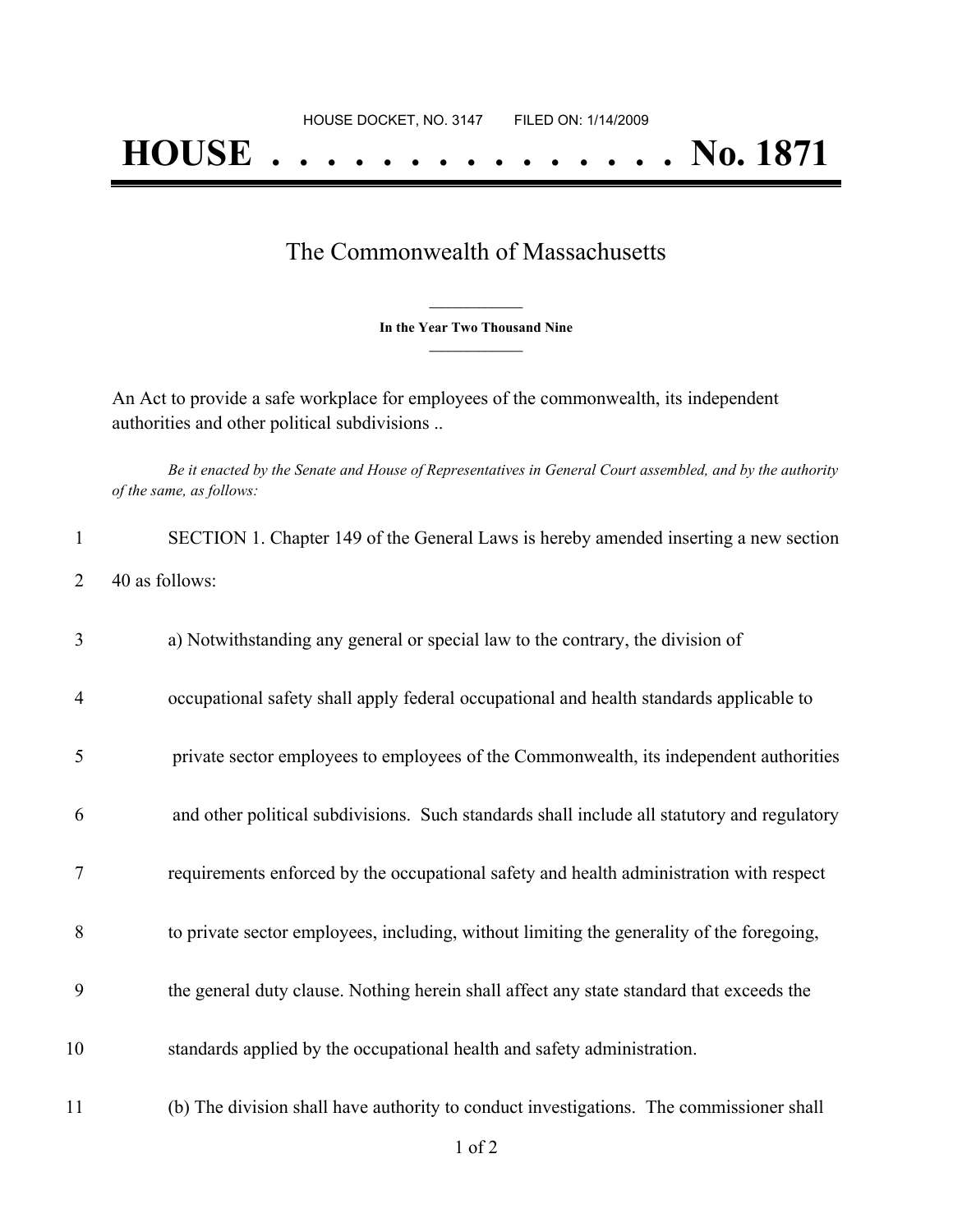## **HOUSE . . . . . . . . . . . . . . . No. 1871**

## The Commonwealth of Massachusetts

**\_\_\_\_\_\_\_\_\_\_\_\_\_\_\_ In the Year Two Thousand Nine \_\_\_\_\_\_\_\_\_\_\_\_\_\_\_**

An Act to provide a safe workplace for employees of the commonwealth, its independent authorities and other political subdivisions ..

Be it enacted by the Senate and House of Representatives in General Court assembled, and by the authority *of the same, as follows:*

| 1              | SECTION 1. Chapter 149 of the General Laws is hereby amended inserting a new section        |
|----------------|---------------------------------------------------------------------------------------------|
| 2              | 40 as follows:                                                                              |
| 3              | a) Notwithstanding any general or special law to the contrary, the division of              |
| $\overline{4}$ | occupational safety shall apply federal occupational and health standards applicable to     |
| 5              | private sector employees to employees of the Commonwealth, its independent authorities      |
| 6              | and other political subdivisions. Such standards shall include all statutory and regulatory |
| 7              | requirements enforced by the occupational safety and health administration with respect     |
| 8              | to private sector employees, including, without limiting the generality of the foregoing,   |
| 9              | the general duty clause. Nothing herein shall affect any state standard that exceeds the    |
| 10             | standards applied by the occupational health and safety administration.                     |
| 11             | (b) The division shall have authority to conduct investigations. The commissioner shall     |